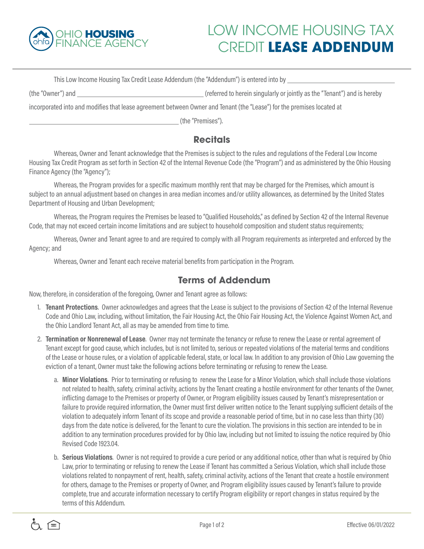

## LOW INCOME HOUSING TAX CREDIT **LEASE ADDENDUM**

This Low Income Housing Tax Credit Lease Addendum (the "Addendum") is entered into by

(the "Owner") and (referred to herein singularly or jointly as the "Tenant") and is hereby

incorporated into and modifies that lease agreement between Owner and Tenant (the "Lease") for the premises located at

(the "Premises").

## **Recitals**

Whereas, Owner and Tenant acknowledge that the Premises is subject to the rules and regulations of the Federal Low Income Housing Tax Credit Program as set forth in Section 42 of the Internal Revenue Code (the "Program") and as administered by the Ohio Housing Finance Agency (the "Agency");

Whereas, the Program provides for a specific maximum monthly rent that may be charged for the Premises, which amount is subject to an annual adjustment based on changes in area median incomes and/or utility allowances, as determined by the United States Department of Housing and Urban Development;

Whereas, the Program requires the Premises be leased to "Qualified Households," as defined by Section 42 of the Internal Revenue Code, that may not exceed certain income limitations and are subject to household composition and student status requirements;

Whereas, Owner and Tenant agree to and are required to comply with all Program requirements as interpreted and enforced by the Agency; and

Whereas, Owner and Tenant each receive material benefits from participation in the Program.

## **Terms of Addendum**

Now, therefore, in consideration of the foregoing, Owner and Tenant agree as follows:

- 1. **Tenant Protections**. Owner acknowledges and agrees that the Lease is subject to the provisions of Section 42 of the Internal Revenue Code and Ohio Law, including, without limitation, the Fair Housing Act, the Ohio Fair Housing Act, the Violence Against Women Act, and the Ohio Landlord Tenant Act, all as may be amended from time to time.
- 2. **Termination or Nonrenewal of Lease**. Owner may not terminate the tenancy or refuse to renew the Lease or rental agreement of Tenant except for good cause, which includes, but is not limited to, serious or repeated violations of the material terms and conditions of the Lease or house rules, or a violation of applicable federal, state, or local law. In addition to any provision of Ohio Law governing the eviction of a tenant, Owner must take the following actions before terminating or refusing to renew the Lease.
	- a. **Minor Violations**. Prior to terminating or refusing to renew the Lease for a Minor Violation, which shall include those violations not related to health, safety, criminal activity, actions by the Tenant creating a hostile environment for other tenants of the Owner, inflicting damage to the Premises or property of Owner, or Program eligibility issues caused by Tenant's misrepresentation or failure to provide required information, the Owner must first deliver written notice to the Tenant supplying sufficient details of the violation to adequately inform Tenant of its scope and provide a reasonable period of time, but in no case less than thirty (30) days from the date notice is delivered, for the Tenant to cure the violation. The provisions in this section are intended to be in addition to any termination procedures provided for by Ohio law, including but not limited to issuing the notice required by Ohio Revised Code 1923.04.
	- b. **Serious Violations**. Owner is not required to provide a cure period or any additional notice, other than what is required by Ohio Law, prior to terminating or refusing to renew the Lease if Tenant has committed a Serious Violation, which shall include those violations related to nonpayment of rent, health, safety, criminal activity, actions of the Tenant that create a hostile environment for others, damage to the Premises or property of Owner, and Program eligibility issues caused by Tenant's failure to provide complete, true and accurate information necessary to certify Program eligibility or report changes in status required by the terms of this Addendum.